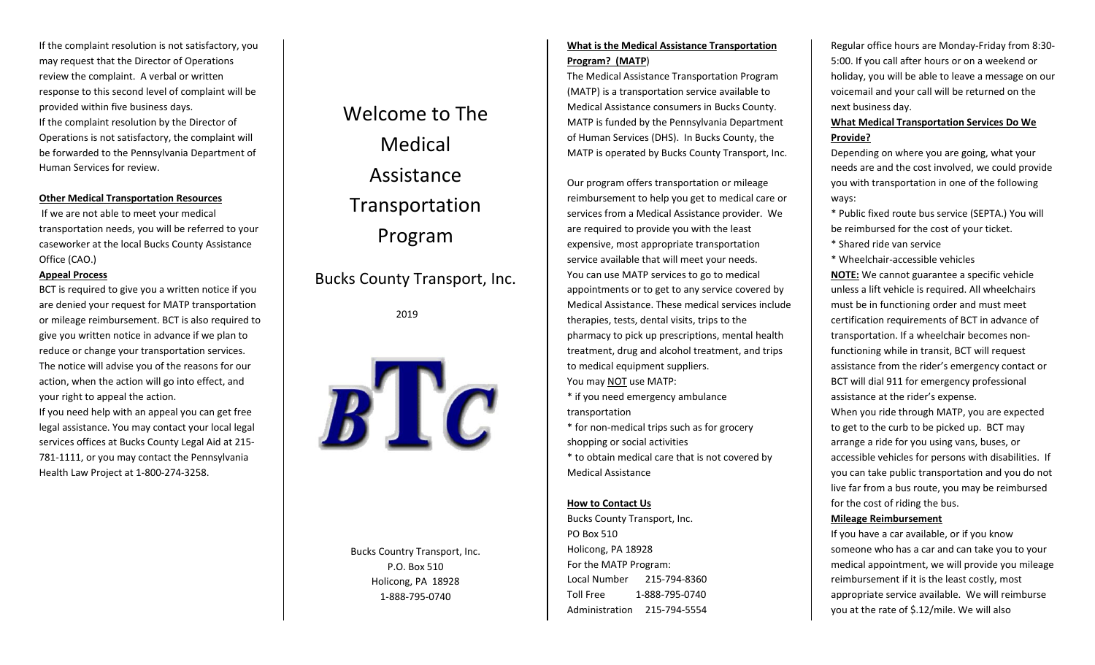If the complaint resolution is not satisfactory, you may request that the Director of Operations review the complaint. A verbal or written response to this second level of complaint will be provided within five business days. If the complaint resolution by the Director of Operations is not satisfactory, the complaint will be forwarded to the Pennsylvania Department of Human Services for review.

# **Other Medical Transportation Resources**

If we are not able to meet your medical transportation needs, you will be referred to your caseworker at the local Bucks County Assistance Office (CAO.)

# **Appeal Process**

BCT is required to give you <sup>a</sup> written notice if you are denied your request for MATP transportation or mileage reimbursement. BCT is also required to give you written notice in advance if we plan to reduce or change your transportation services. The notice will advise you of the reasons for our action, when the action will go into effect, and your right to appeal the action.

If you need help with an appeal you can get free legal assistance. You may contact your local legal services offices at Bucks County Legal Aid at 215‐ 781-1111, or you may contact the Pennsylvania Health Law Project at 1‐800‐274‐3258.

# Welcome to The MedicalAssistanceTransportation Program

Bucks County Transport, Inc.

2019



Bucks Country Transport, Inc. P.O. Box 510Holicong, PA 18928 1‐888‐795‐0740

# **What is the Medical Assistance Transportation Program? (MATP**)

The Medical Assistance Transportation Program (MATP) is <sup>a</sup> transportation service available to Medical Assistance consumers in Bucks County. MATP is funded by the Pennsylvania Department of Human Services (DHS). In Bucks County, the MATP is operated by Bucks County Transport, Inc.

Our program offers transportation or mileage reimbursement to help you get to medical care or services from <sup>a</sup> Medical Assistance provider. We are required to provide you with the least expensive, most appropriate transportation service available that will meet your needs. You can use MATP services to go to medical appointments or to get to any service covered by Medical Assistance. These medical services include therapies, tests, dental visits, trips to the pharmacy to pick up prescriptions, mental health treatment, drug and alcohol treatment, and trips to medical equipment suppliers. You may <u>NOT</u> use MATP:

\* if you need emergency ambulance transportation

\* for non‐medical trips such as for grocery shopping or social activities

\* to obtain medical care that is not covered by Medical Assistance

# **How to Contact Us**

Bucks County Transport, Inc. PO Box 510 Holicong, PA 18928 For the MATP Program: Local Number 215‐794‐8360Toll Free 1‐888‐795‐0740Administration 215‐794‐5554

Regular office hours are Monday‐Friday from 8:30‐ 5:00. If you call after hours or on <sup>a</sup> weekend or holiday, you will be able to leave <sup>a</sup> message on our voicemail and your call will be returned on the next business day.

# **What Medical Transportation Services Do We Provide?**

Depending on where you are going, what your needs are and the cost involved, we could provide you with transportation in one of the following ways:

\* Public fixed route bus service (SEPTA.) You will be reimbursed for the cost of your ticket.

\* Shared ride van service

\* Wheelchair‐accessible vehicles

**NOTE:** We cannot guarantee <sup>a</sup> specific vehicle unless a lift vehicle is required. All wheelchairs must be in functioning order and must meet certification requirements of BCT in advance of transportation. If <sup>a</sup> wheelchair becomes non‐ functioning while in transit, BCT will request assistance from the rider's emergency contact or BCT will dial 911 for emergency professional assistance at the rider's expense.

When you ride through MATP, you are expected to get to the curb to be picked up. BCT may arrange <sup>a</sup> ride for you using vans, buses, or accessible vehicles for persons with disabilities. If you can take public transportation and you do not live far from <sup>a</sup> bus route, you may be reimbursed for the cost of riding the bus.

# **Mileage Reimbursement**

If you have <sup>a</sup> car available, or if you know someone who has <sup>a</sup> car and can take you to your medical appointment, we will provide you mileage reimbursement if it is the least costly, most appropriate service available. We will reimburse you at the rate of \$.12/mile. We will also